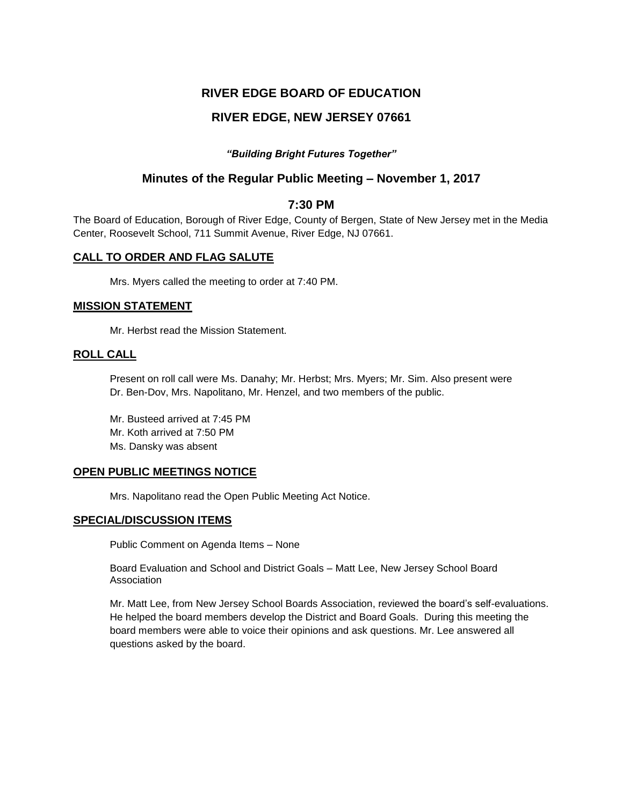# **RIVER EDGE BOARD OF EDUCATION**

# **RIVER EDGE, NEW JERSEY 07661**

## *"Building Bright Futures Together"*

# **Minutes of the Regular Public Meeting – November 1, 2017**

## **7:30 PM**

The Board of Education, Borough of River Edge, County of Bergen, State of New Jersey met in the Media Center, Roosevelt School, 711 Summit Avenue, River Edge, NJ 07661.

## **CALL TO ORDER AND FLAG SALUTE**

Mrs. Myers called the meeting to order at 7:40 PM.

## **MISSION STATEMENT**

Mr. Herbst read the Mission Statement.

## **ROLL CALL**

Present on roll call were Ms. Danahy; Mr. Herbst; Mrs. Myers; Mr. Sim. Also present were Dr. Ben-Dov, Mrs. Napolitano, Mr. Henzel, and two members of the public.

Mr. Busteed arrived at 7:45 PM Mr. Koth arrived at 7:50 PM Ms. Dansky was absent

## **OPEN PUBLIC MEETINGS NOTICE**

Mrs. Napolitano read the Open Public Meeting Act Notice.

## **SPECIAL/DISCUSSION ITEMS**

Public Comment on Agenda Items – None

Board Evaluation and School and District Goals – Matt Lee, New Jersey School Board Association

Mr. Matt Lee, from New Jersey School Boards Association, reviewed the board's self-evaluations. He helped the board members develop the District and Board Goals. During this meeting the board members were able to voice their opinions and ask questions. Mr. Lee answered all questions asked by the board.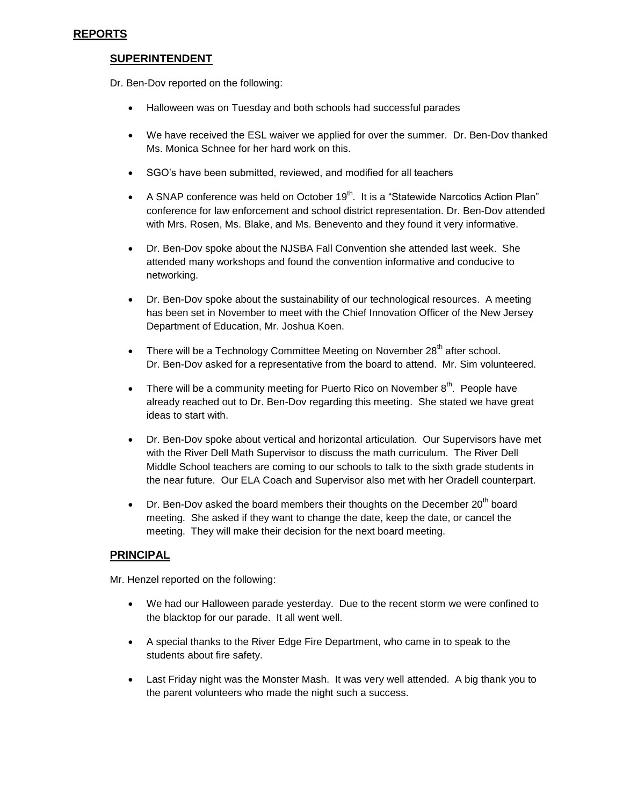# **REPORTS**

# **SUPERINTENDENT**

Dr. Ben-Dov reported on the following:

- Halloween was on Tuesday and both schools had successful parades
- We have received the ESL waiver we applied for over the summer. Dr. Ben-Dov thanked Ms. Monica Schnee for her hard work on this.
- SGO's have been submitted, reviewed, and modified for all teachers
- A SNAP conference was held on October 19<sup>th</sup>. It is a "Statewide Narcotics Action Plan" conference for law enforcement and school district representation. Dr. Ben-Dov attended with Mrs. Rosen, Ms. Blake, and Ms. Benevento and they found it very informative.
- Dr. Ben-Dov spoke about the NJSBA Fall Convention she attended last week. She attended many workshops and found the convention informative and conducive to networking.
- Dr. Ben-Dov spoke about the sustainability of our technological resources. A meeting has been set in November to meet with the Chief Innovation Officer of the New Jersey Department of Education, Mr. Joshua Koen.
- There will be a Technology Committee Meeting on November  $28<sup>th</sup>$  after school. Dr. Ben-Dov asked for a representative from the board to attend. Mr. Sim volunteered.
- There will be a community meeting for Puerto Rico on November  $8<sup>th</sup>$ . People have already reached out to Dr. Ben-Dov regarding this meeting. She stated we have great ideas to start with.
- Dr. Ben-Dov spoke about vertical and horizontal articulation. Our Supervisors have met with the River Dell Math Supervisor to discuss the math curriculum. The River Dell Middle School teachers are coming to our schools to talk to the sixth grade students in the near future. Our ELA Coach and Supervisor also met with her Oradell counterpart.
- $\bullet$  Dr. Ben-Dov asked the board members their thoughts on the December 20<sup>th</sup> board meeting. She asked if they want to change the date, keep the date, or cancel the meeting. They will make their decision for the next board meeting.

# **PRINCIPAL**

Mr. Henzel reported on the following:

- We had our Halloween parade yesterday. Due to the recent storm we were confined to the blacktop for our parade. It all went well.
- A special thanks to the River Edge Fire Department, who came in to speak to the students about fire safety.
- Last Friday night was the Monster Mash. It was very well attended. A big thank you to the parent volunteers who made the night such a success.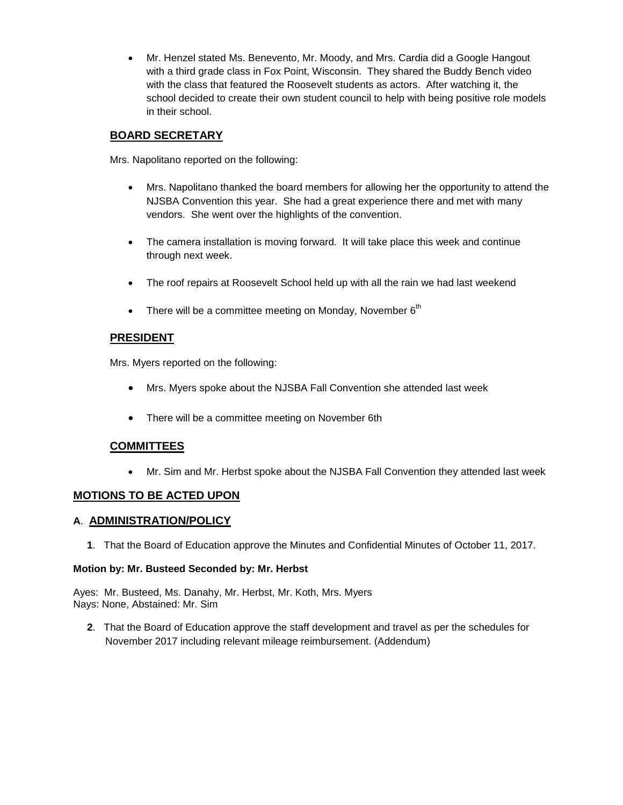Mr. Henzel stated Ms. Benevento, Mr. Moody, and Mrs. Cardia did a Google Hangout with a third grade class in Fox Point, Wisconsin. They shared the Buddy Bench video with the class that featured the Roosevelt students as actors. After watching it, the school decided to create their own student council to help with being positive role models in their school.

## **BOARD SECRETARY**

Mrs. Napolitano reported on the following:

- Mrs. Napolitano thanked the board members for allowing her the opportunity to attend the NJSBA Convention this year. She had a great experience there and met with many vendors. She went over the highlights of the convention.
- The camera installation is moving forward. It will take place this week and continue through next week.
- The roof repairs at Roosevelt School held up with all the rain we had last weekend
- There will be a committee meeting on Monday, November  $6<sup>th</sup>$

## **PRESIDENT**

Mrs. Myers reported on the following:

- Mrs. Myers spoke about the NJSBA Fall Convention she attended last week
- There will be a committee meeting on November 6th

## **COMMITTEES**

Mr. Sim and Mr. Herbst spoke about the NJSBA Fall Convention they attended last week

## **MOTIONS TO BE ACTED UPON**

## **A**. **ADMINISTRATION/POLICY**

**1**. That the Board of Education approve the Minutes and Confidential Minutes of October 11, 2017.

#### **Motion by: Mr. Busteed Seconded by: Mr. Herbst**

Ayes: Mr. Busteed, Ms. Danahy, Mr. Herbst, Mr. Koth, Mrs. Myers Nays: None, Abstained: Mr. Sim

**2**. That the Board of Education approve the staff development and travel as per the schedules for November 2017 including relevant mileage reimbursement. (Addendum)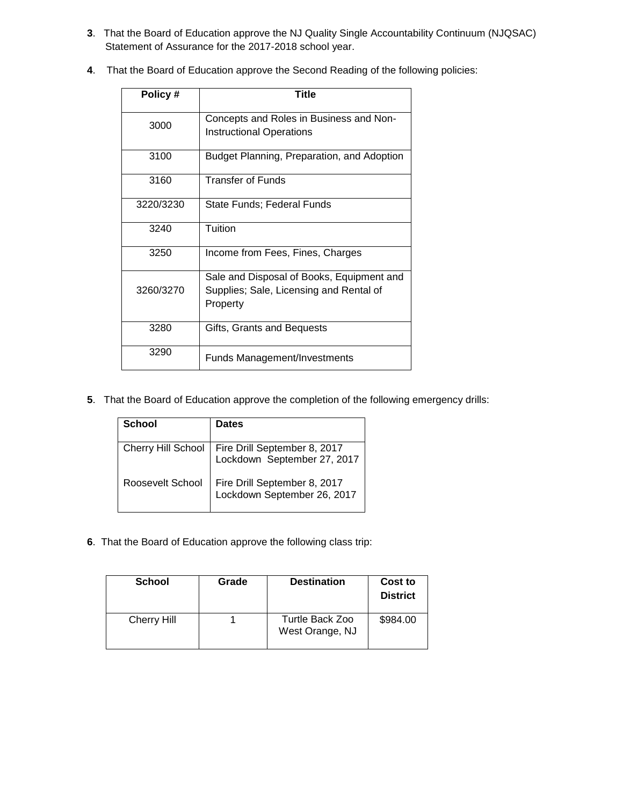- **3**. That the Board of Education approve the NJ Quality Single Accountability Continuum (NJQSAC) Statement of Assurance for the 2017-2018 school year.
- **4**. That the Board of Education approve the Second Reading of the following policies:

| Policy #  | Title                                                                                            |
|-----------|--------------------------------------------------------------------------------------------------|
| 3000      | Concepts and Roles in Business and Non-<br><b>Instructional Operations</b>                       |
| 3100      | Budget Planning, Preparation, and Adoption                                                       |
| 3160      | <b>Transfer of Funds</b>                                                                         |
| 3220/3230 | State Funds; Federal Funds                                                                       |
| 3240      | Tuition                                                                                          |
| 3250      | Income from Fees, Fines, Charges                                                                 |
| 3260/3270 | Sale and Disposal of Books, Equipment and<br>Supplies; Sale, Licensing and Rental of<br>Property |
| 3280      | Gifts, Grants and Bequests                                                                       |
| 3290      | <b>Funds Management/Investments</b>                                                              |

**5**. That the Board of Education approve the completion of the following emergency drills:

| School                    | <b>Dates</b>                                                |
|---------------------------|-------------------------------------------------------------|
| <b>Cherry Hill School</b> | Fire Drill September 8, 2017<br>Lockdown September 27, 2017 |
| Roosevelt School          | Fire Drill September 8, 2017<br>Lockdown September 26, 2017 |

**6**. That the Board of Education approve the following class trip:

| <b>School</b>      | Grade | <b>Destination</b>                 | Cost to<br><b>District</b> |
|--------------------|-------|------------------------------------|----------------------------|
| <b>Cherry Hill</b> |       | Turtle Back Zoo<br>West Orange, NJ | \$984.00                   |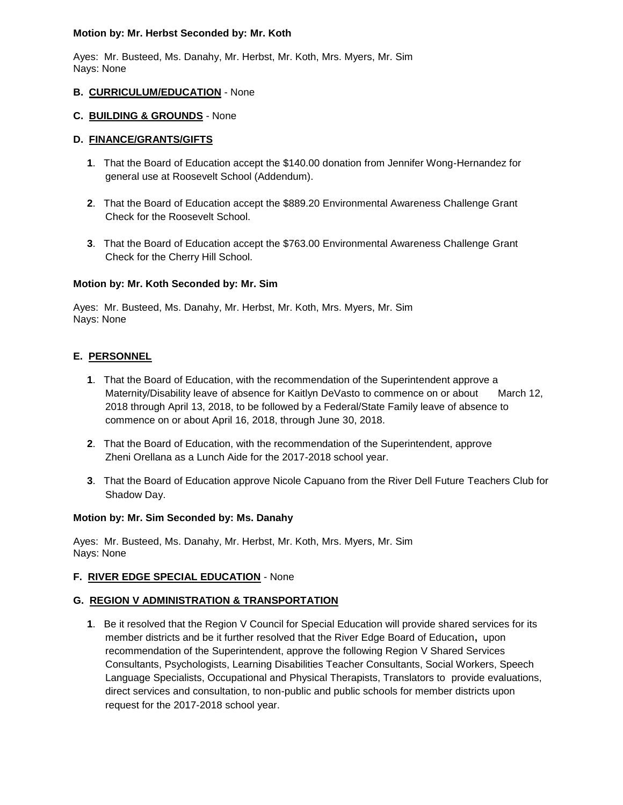### **Motion by: Mr. Herbst Seconded by: Mr. Koth**

Ayes: Mr. Busteed, Ms. Danahy, Mr. Herbst, Mr. Koth, Mrs. Myers, Mr. Sim Nays: None

## **B. CURRICULUM/EDUCATION** - None

### **C. BUILDING & GROUNDS** - None

## **D. FINANCE/GRANTS/GIFTS**

- **1**. That the Board of Education accept the \$140.00 donation from Jennifer Wong-Hernandez for general use at Roosevelt School (Addendum).
- **2**. That the Board of Education accept the \$889.20 Environmental Awareness Challenge Grant Check for the Roosevelt School.
- **3**. That the Board of Education accept the \$763.00 Environmental Awareness Challenge Grant Check for the Cherry Hill School.

## **Motion by: Mr. Koth Seconded by: Mr. Sim**

Ayes: Mr. Busteed, Ms. Danahy, Mr. Herbst, Mr. Koth, Mrs. Myers, Mr. Sim Nays: None

## **E. PERSONNEL**

- **1**. That the Board of Education, with the recommendation of the Superintendent approve a Maternity/Disability leave of absence for Kaitlyn DeVasto to commence on or about March 12, 2018 through April 13, 2018, to be followed by a Federal/State Family leave of absence to commence on or about April 16, 2018, through June 30, 2018.
- **2**. That the Board of Education, with the recommendation of the Superintendent, approve Zheni Orellana as a Lunch Aide for the 2017-2018 school year.
- **3**. That the Board of Education approve Nicole Capuano from the River Dell Future Teachers Club for Shadow Day.

## **Motion by: Mr. Sim Seconded by: Ms. Danahy**

Ayes: Mr. Busteed, Ms. Danahy, Mr. Herbst, Mr. Koth, Mrs. Myers, Mr. Sim Nays: None

## **F. RIVER EDGE SPECIAL EDUCATION** - None

## **G. REGION V ADMINISTRATION & TRANSPORTATION**

**1**. Be it resolved that the Region V Council for Special Education will provide shared services for its member districts and be it further resolved that the River Edge Board of Education**,** upon recommendation of the Superintendent, approve the following Region V Shared Services Consultants, Psychologists, Learning Disabilities Teacher Consultants, Social Workers, Speech Language Specialists, Occupational and Physical Therapists, Translators to provide evaluations, direct services and consultation, to non-public and public schools for member districts upon request for the 2017-2018 school year.